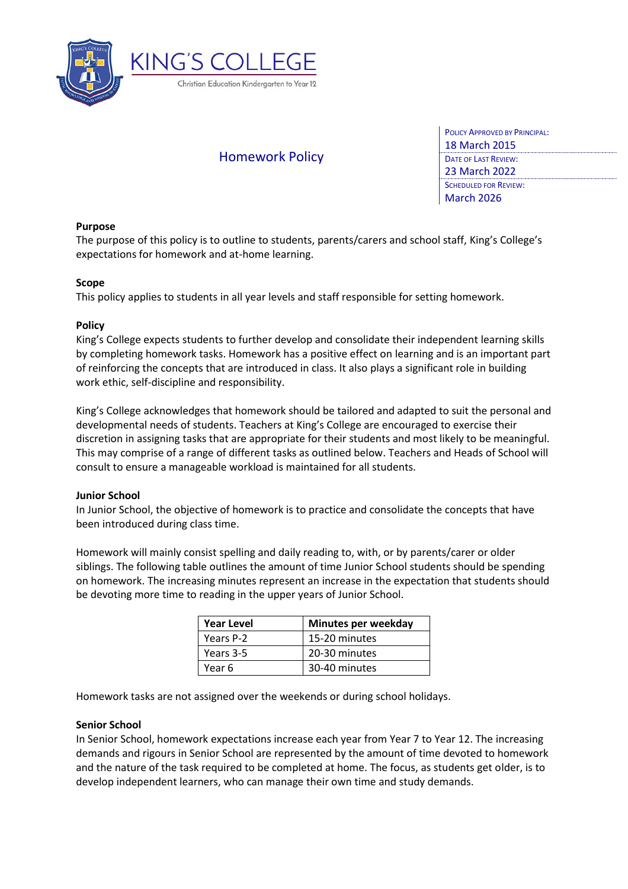

# Homework Policy

| <b>POLICY APPROVED BY PRINCIPAL:</b> |
|--------------------------------------|
| <b>18 March 2015</b>                 |
| <b>DATE OF LAST REVIEW:</b>          |
| 23 March 2022                        |
| <b>SCHEDULED FOR REVIEW:</b>         |
| <b>March 2026</b>                    |
|                                      |

# **Purpose**

The purpose of this policy is to outline to students, parents/carers and school staff, King's College's expectations for homework and at-home learning.

# **Scope**

This policy applies to students in all year levels and staff responsible for setting homework.

# **Policy**

King's College expects students to further develop and consolidate their independent learning skills by completing homework tasks. Homework has a positive effect on learning and is an important part of reinforcing the concepts that are introduced in class. It also plays a significant role in building work ethic, self-discipline and responsibility.

King's College acknowledges that homework should be tailored and adapted to suit the personal and developmental needs of students. Teachers at King's College are encouraged to exercise their discretion in assigning tasks that are appropriate for their students and most likely to be meaningful. This may comprise of a range of different tasks as outlined below. Teachers and Heads of School will consult to ensure a manageable workload is maintained for all students.

# **Junior School**

In Junior School, the objective of homework is to practice and consolidate the concepts that have been introduced during class time.

Homework will mainly consist spelling and daily reading to, with, or by parents/carer or older siblings. The following table outlines the amount of time Junior School students should be spending on homework. The increasing minutes represent an increase in the expectation that students should be devoting more time to reading in the upper years of Junior School.

| <b>Year Level</b> | Minutes per weekday |
|-------------------|---------------------|
| Years P-2         | 15-20 minutes       |
| Years 3-5         | 20-30 minutes       |
| Year 6            | 30-40 minutes       |

Homework tasks are not assigned over the weekends or during school holidays.

#### **Senior School**

In Senior School, homework expectations increase each year from Year 7 to Year 12. The increasing demands and rigours in Senior School are represented by the amount of time devoted to homework and the nature of the task required to be completed at home. The focus, as students get older, is to develop independent learners, who can manage their own time and study demands.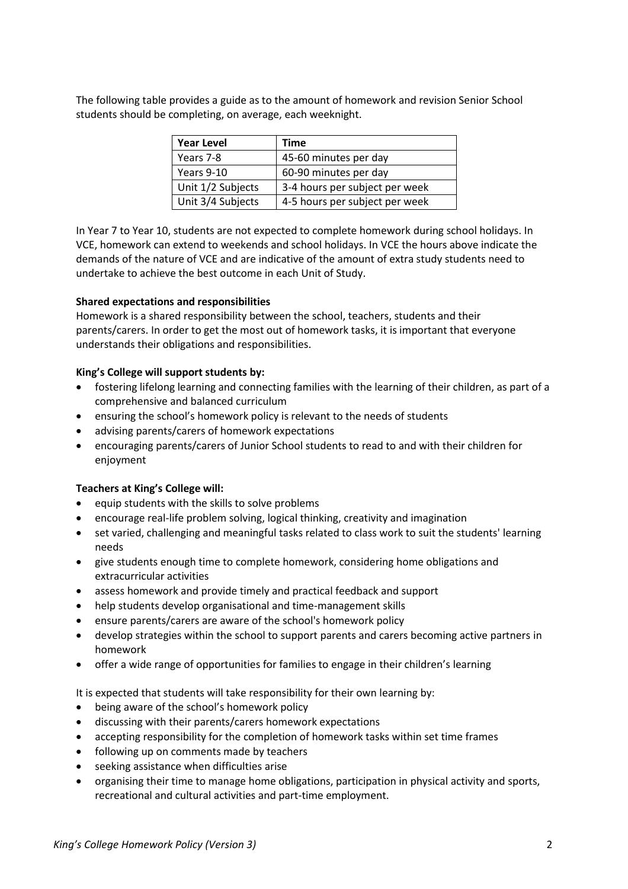The following table provides a guide as to the amount of homework and revision Senior School students should be completing, on average, each weeknight.

| <b>Year Level</b> | Time                           |
|-------------------|--------------------------------|
| Years 7-8         | 45-60 minutes per day          |
| Years 9-10        | 60-90 minutes per day          |
| Unit 1/2 Subjects | 3-4 hours per subject per week |
| Unit 3/4 Subjects | 4-5 hours per subject per week |

In Year 7 to Year 10, students are not expected to complete homework during school holidays. In VCE, homework can extend to weekends and school holidays. In VCE the hours above indicate the demands of the nature of VCE and are indicative of the amount of extra study students need to undertake to achieve the best outcome in each Unit of Study.

# **Shared expectations and responsibilities**

Homework is a shared responsibility between the school, teachers, students and their parents/carers. In order to get the most out of homework tasks, it is important that everyone understands their obligations and responsibilities.

# **King's College will support students by:**

- fostering lifelong learning and connecting families with the learning of their children, as part of a comprehensive and balanced curriculum
- ensuring the school's homework policy is relevant to the needs of students
- advising parents/carers of homework expectations
- encouraging parents/carers of Junior School students to read to and with their children for enjoyment

# **Teachers at King's College will:**

- equip students with the skills to solve problems
- encourage real-life problem solving, logical thinking, creativity and imagination
- set varied, challenging and meaningful tasks related to class work to suit the students' learning needs
- give students enough time to complete homework, considering home obligations and extracurricular activities
- assess homework and provide timely and practical feedback and support
- help students develop organisational and time-management skills
- ensure parents/carers are aware of the school's homework policy
- develop strategies within the school to support parents and carers becoming active partners in homework
- offer a wide range of opportunities for families to engage in their children's learning

It is expected that students will take responsibility for their own learning by:

- being aware of the school's homework policy
- discussing with their parents/carers homework expectations
- accepting responsibility for the completion of homework tasks within set time frames
- following up on comments made by teachers
- seeking assistance when difficulties arise
- organising their time to manage home obligations, participation in physical activity and sports, recreational and cultural activities and part-time employment.